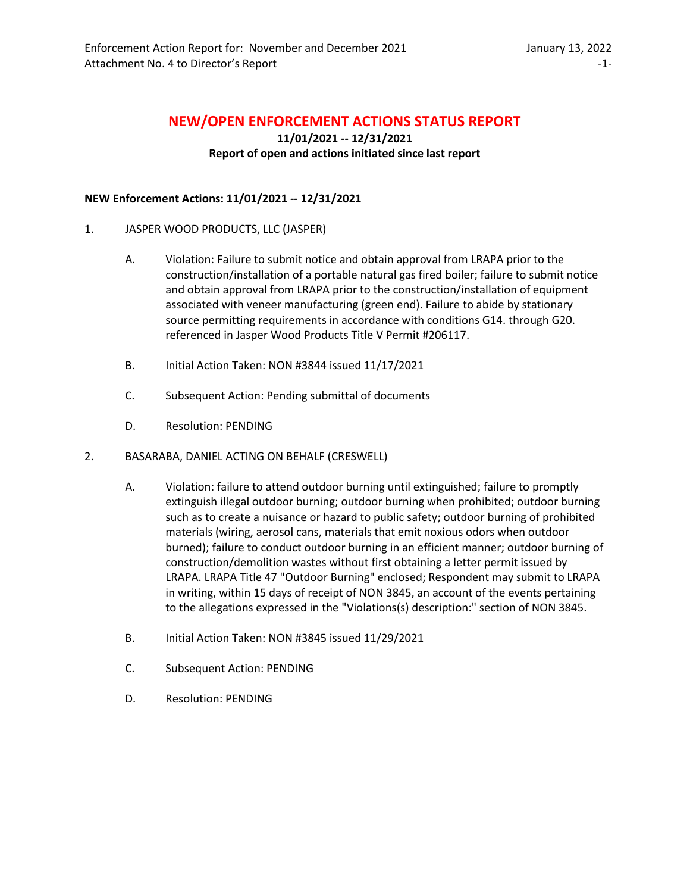# **NEW/OPEN ENFORCEMENT ACTIONS STATUS REPORT**

# **11/01/2021 -- 12/31/2021 Report of open and actions initiated since last report**

## **NEW Enforcement Actions: 11/01/2021 -- 12/31/2021**

- 1. JASPER WOOD PRODUCTS, LLC (JASPER)
	- A. Violation: Failure to submit notice and obtain approval from LRAPA prior to the construction/installation of a portable natural gas fired boiler; failure to submit notice and obtain approval from LRAPA prior to the construction/installation of equipment associated with veneer manufacturing (green end). Failure to abide by stationary source permitting requirements in accordance with conditions G14. through G20. referenced in Jasper Wood Products Title V Permit #206117.
	- B. Initial Action Taken: NON #3844 issued 11/17/2021
	- C. Subsequent Action: Pending submittal of documents
	- D. Resolution: PENDING
- 2. BASARABA, DANIEL ACTING ON BEHALF (CRESWELL)
	- A. Violation: failure to attend outdoor burning until extinguished; failure to promptly extinguish illegal outdoor burning; outdoor burning when prohibited; outdoor burning such as to create a nuisance or hazard to public safety; outdoor burning of prohibited materials (wiring, aerosol cans, materials that emit noxious odors when outdoor burned); failure to conduct outdoor burning in an efficient manner; outdoor burning of construction/demolition wastes without first obtaining a letter permit issued by LRAPA. LRAPA Title 47 "Outdoor Burning" enclosed; Respondent may submit to LRAPA in writing, within 15 days of receipt of NON 3845, an account of the events pertaining to the allegations expressed in the "Violations(s) description:" section of NON 3845.
	- B. Initial Action Taken: NON #3845 issued 11/29/2021
	- C. Subsequent Action: PENDING
	- D. Resolution: PENDING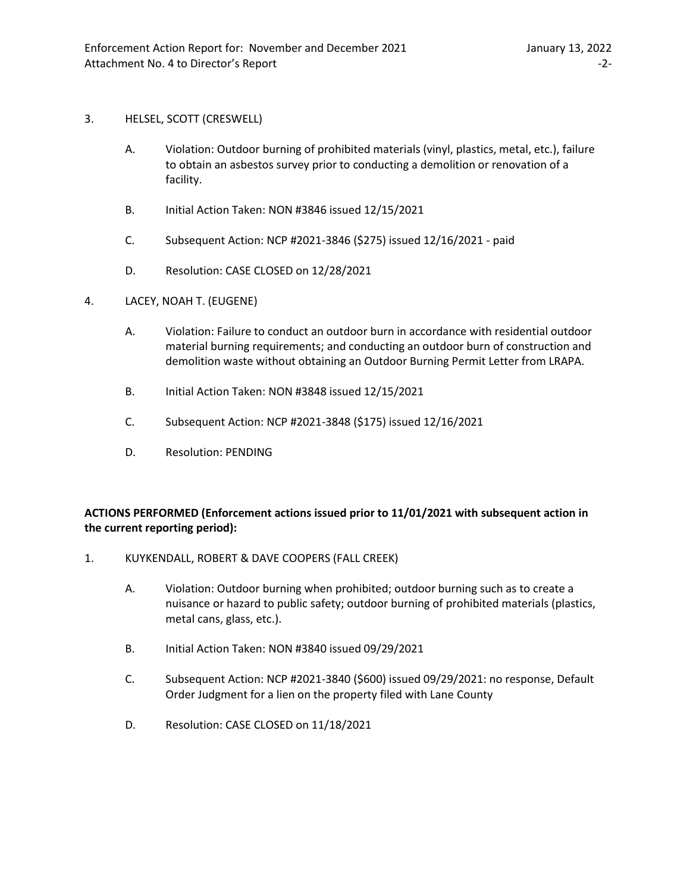#### 3. HELSEL, SCOTT (CRESWELL)

- A. Violation: Outdoor burning of prohibited materials (vinyl, plastics, metal, etc.), failure to obtain an asbestos survey prior to conducting a demolition or renovation of a facility.
- B. Initial Action Taken: NON #3846 issued 12/15/2021
- C. Subsequent Action: NCP #2021-3846 (\$275) issued 12/16/2021 paid
- D. Resolution: CASE CLOSED on 12/28/2021
- 4. LACEY, NOAH T. (EUGENE)
	- A. Violation: Failure to conduct an outdoor burn in accordance with residential outdoor material burning requirements; and conducting an outdoor burn of construction and demolition waste without obtaining an Outdoor Burning Permit Letter from LRAPA.
	- B. Initial Action Taken: NON #3848 issued 12/15/2021
	- C. Subsequent Action: NCP #2021-3848 (\$175) issued 12/16/2021
	- D. Resolution: PENDING

# **ACTIONS PERFORMED (Enforcement actions issued prior to 11/01/2021 with subsequent action in the current reporting period):**

- 1. KUYKENDALL, ROBERT & DAVE COOPERS (FALL CREEK)
	- A. Violation: Outdoor burning when prohibited; outdoor burning such as to create a nuisance or hazard to public safety; outdoor burning of prohibited materials (plastics, metal cans, glass, etc.).
	- B. Initial Action Taken: NON #3840 issued 09/29/2021
	- C. Subsequent Action: NCP #2021-3840 (\$600) issued 09/29/2021: no response, Default Order Judgment for a lien on the property filed with Lane County
	- D. Resolution: CASE CLOSED on 11/18/2021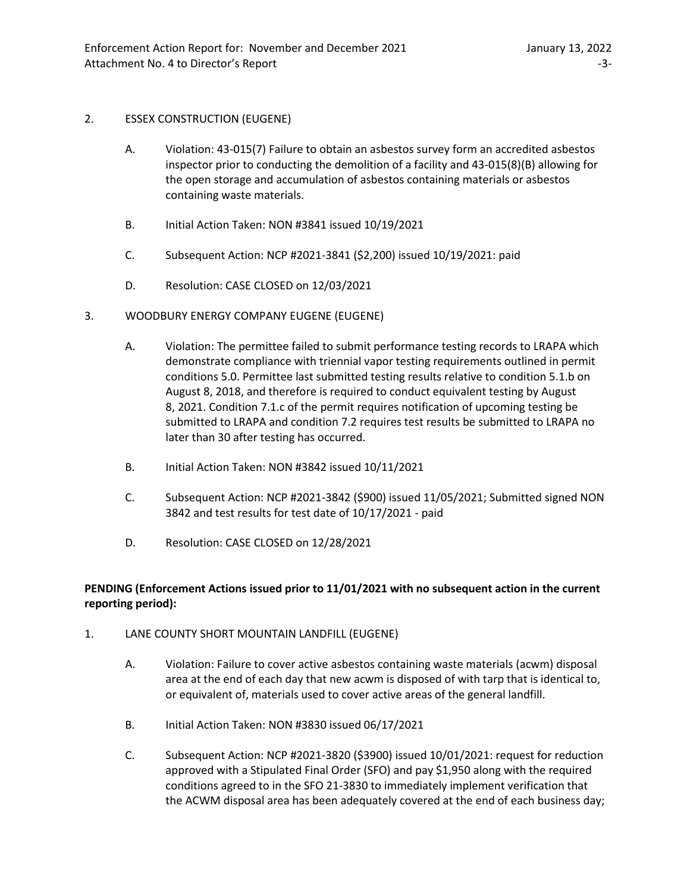## 2. ESSEX CONSTRUCTION (EUGENE)

- A. Violation: 43-015(7) Failure to obtain an asbestos survey form an accredited asbestos inspector prior to conducting the demolition of a facility and 43-015(8)(B) allowing for the open storage and accumulation of asbestos containing materials or asbestos containing waste materials.
- B. Initial Action Taken: NON #3841 issued 10/19/2021
- C. Subsequent Action: NCP #2021-3841 (\$2,200) issued 10/19/2021: paid
- D. Resolution: CASE CLOSED on 12/03/2021
- 3. WOODBURY ENERGY COMPANY EUGENE (EUGENE)
	- A. Violation: The permittee failed to submit performance testing records to LRAPA which demonstrate compliance with triennial vapor testing requirements outlined in permit conditions 5.0. Permittee last submitted testing results relative to condition 5.1.b on August 8, 2018, and therefore is required to conduct equivalent testing by August 8, 2021. Condition 7.1.c of the permit requires notification of upcoming testing be submitted to LRAPA and condition 7.2 requires test results be submitted to LRAPA no later than 30 after testing has occurred.
	- B. Initial Action Taken: NON #3842 issued 10/11/2021
	- C. Subsequent Action: NCP #2021-3842 (\$900) issued 11/05/2021; Submitted signed NON 3842 and test results for test date of 10/17/2021 - paid
	- D. Resolution: CASE CLOSED on 12/28/2021

# **PENDING (Enforcement Actions issued prior to 11/01/2021 with no subsequent action in the current reporting period):**

- 1. LANE COUNTY SHORT MOUNTAIN LANDFILL (EUGENE)
	- A. Violation: Failure to cover active asbestos containing waste materials (acwm) disposal area at the end of each day that new acwm is disposed of with tarp that is identical to, or equivalent of, materials used to cover active areas of the general landfill.
	- B. Initial Action Taken: NON #3830 issued 06/17/2021
	- C. Subsequent Action: NCP #2021-3820 (\$3900) issued 10/01/2021: request for reduction approved with a Stipulated Final Order (SFO) and pay \$1,950 along with the required conditions agreed to in the SFO 21-3830 to immediately implement verification that the ACWM disposal area has been adequately covered at the end of each business day;